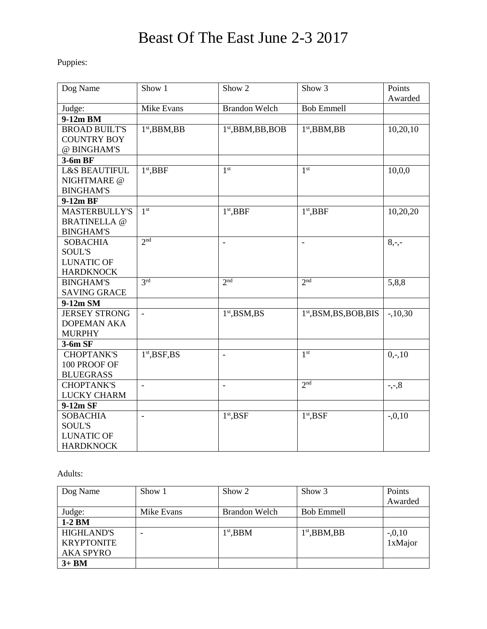## Beast Of The East June 2-3 2017

Puppies:

| Dog Name                                                                  | Show 1                   | Show 2               | Show <sub>3</sub>         | Points<br>Awarded |
|---------------------------------------------------------------------------|--------------------------|----------------------|---------------------------|-------------------|
| Judge:                                                                    | <b>Mike Evans</b>        | <b>Brandon Welch</b> | <b>Bob Emmell</b>         |                   |
| 9-12m BM                                                                  |                          |                      |                           |                   |
| <b>BROAD BUILT'S</b><br><b>COUNTRY BOY</b><br>@ BINGHAM'S                 | $1st$ , BBM, BB          | $1st$ , BBM, BB, BOB | $1st$ , BBM, BB           | 10,20,10          |
| 3-6m BF                                                                   |                          |                      |                           |                   |
| <b>L&amp;S BEAUTIFUL</b><br>NIGHTMARE @<br><b>BINGHAM'S</b>               | $1st$ , BBF              | 1 <sup>st</sup>      | 1 <sup>st</sup>           | 10,0,0            |
| 9-12m BF                                                                  |                          |                      |                           |                   |
| <b>MASTERBULLY'S</b><br><b>BRATINELLA</b> @<br><b>BINGHAM'S</b>           | 1 <sup>st</sup>          | $1st$ , BBF          | $1st$ , BBF               | 10,20,20          |
| <b>SOBACHIA</b><br><b>SOUL'S</b>                                          | 2 <sup>nd</sup>          | $\bar{\phantom{a}}$  | $\blacksquare$            | $8, -,-$          |
| <b>LUNATIC OF</b><br><b>HARDKNOCK</b>                                     |                          |                      |                           |                   |
| <b>BINGHAM'S</b><br><b>SAVING GRACE</b>                                   | 3rd                      | 2 <sub>nd</sub>      | 2 <sub>nd</sub>           | 5,8,8             |
| 9-12m SM                                                                  |                          |                      |                           |                   |
| <b>JERSEY STRONG</b><br><b>DOPEMAN AKA</b><br><b>MURPHY</b>               | $\equiv$                 | $1st$ , BSM, BS      | $1st$ , BSM, BS, BOB, BIS | $-.10,30$         |
| $3-6m$ SF                                                                 |                          |                      |                           |                   |
| <b>CHOPTANK'S</b><br>100 PROOF OF<br><b>BLUEGRASS</b>                     | $1st$ , BSF, BS          | $\overline{a}$       | 1 <sup>st</sup>           | $0, -10$          |
| <b>CHOPTANK'S</b><br><b>LUCKY CHARM</b>                                   | $\overline{\phantom{a}}$ | $\bar{\phantom{a}}$  | 2 <sup>nd</sup>           | $-,-,8$           |
| 9-12m SF                                                                  |                          |                      |                           |                   |
| <b>SOBACHIA</b><br><b>SOUL'S</b><br><b>LUNATIC OF</b><br><b>HARDKNOCK</b> |                          | $1st$ , BSF          | $1st$ , BSF               | $-0.10$           |

Adults:

| Dog Name          | Show 1     | Show 2        | Show 3            | Points<br>Awarded |
|-------------------|------------|---------------|-------------------|-------------------|
| Judge:            | Mike Evans | Brandon Welch | <b>Bob Emmell</b> |                   |
| $1-2$ BM          |            |               |                   |                   |
| <b>HIGHLAND'S</b> |            | $1st$ , BBM   | $1st$ , BBM, BB   | $-0.10$           |
| <b>KRYPTONITE</b> |            |               |                   | 1xMajor           |
| <b>AKA SPYRO</b>  |            |               |                   |                   |
| $3+BM$            |            |               |                   |                   |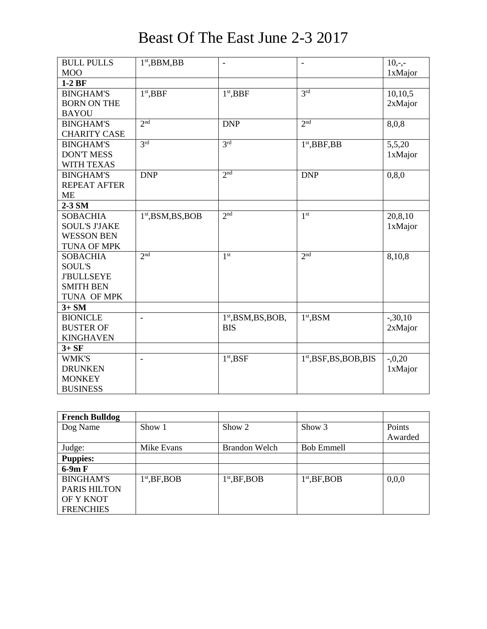| <b>BULL PULLS</b>    | $1st$ , BBM, BB      | $\overline{\phantom{0}}$ | $\overline{\phantom{a}}$  | $10, -,-$ |
|----------------------|----------------------|--------------------------|---------------------------|-----------|
| <b>MOO</b>           |                      |                          |                           | 1xMajor   |
| $1-2BF$              |                      |                          |                           |           |
| <b>BINGHAM'S</b>     | $1st$ , BBF          | $1st$ , BBF              | 3 <sup>rd</sup>           | 10,10,5   |
| <b>BORN ON THE</b>   |                      |                          |                           | 2xMajor   |
| <b>BAYOU</b>         |                      |                          |                           |           |
| <b>BINGHAM'S</b>     | 2 <sub>nd</sub>      | <b>DNP</b>               | 2 <sub>nd</sub>           | 8,0,8     |
| <b>CHARITY CASE</b>  |                      |                          |                           |           |
| <b>BINGHAM'S</b>     | 3 <sup>rd</sup>      | 3 <sup>rd</sup>          | $1st$ , BBF, BB           | 5,5,20    |
| <b>DON'T MESS</b>    |                      |                          |                           | 1xMajor   |
| <b>WITH TEXAS</b>    |                      |                          |                           |           |
| <b>BINGHAM'S</b>     | <b>DNP</b>           | 2 <sup>nd</sup>          | <b>DNP</b>                | 0, 8, 0   |
| <b>REPEAT AFTER</b>  |                      |                          |                           |           |
| <b>ME</b>            |                      |                          |                           |           |
| $2-3$ SM             |                      |                          |                           |           |
| <b>SOBACHIA</b>      | $1st$ , BSM, BS, BOB | 2 <sup>nd</sup>          | 1 <sup>st</sup>           | 20,8,10   |
| <b>SOUL'S J'JAKE</b> |                      |                          |                           | 1xMajor   |
| <b>WESSON BEN</b>    |                      |                          |                           |           |
| <b>TUNA OF MPK</b>   |                      |                          |                           |           |
| <b>SOBACHIA</b>      | 2 <sup>nd</sup>      | 1 <sup>st</sup>          | 2 <sub>nd</sub>           | 8,10,8    |
| <b>SOUL'S</b>        |                      |                          |                           |           |
| <b>J'BULLSEYE</b>    |                      |                          |                           |           |
| <b>SMITH BEN</b>     |                      |                          |                           |           |
| TUNA OF MPK          |                      |                          |                           |           |
| $3+SM$               |                      |                          |                           |           |
| <b>BIONICLE</b>      | $\blacksquare$       | $1st$ , BSM, BS, BOB,    | $1st$ , BSM               | $-.30,10$ |
| <b>BUSTER OF</b>     |                      | <b>BIS</b>               |                           | 2xMajor   |
| <b>KINGHAVEN</b>     |                      |                          |                           |           |
| $3+SF$               |                      |                          |                           |           |
| <b>WMK'S</b>         |                      | $1st$ , BSF              | $1st$ , BSF, BS, BOB, BIS | $-0,20$   |
| <b>DRUNKEN</b>       |                      |                          |                           | 1xMajor   |
| <b>MONKEY</b>        |                      |                          |                           |           |
| <b>BUSINESS</b>      |                      |                          |                           |           |

## Beast Of The East June 2-3 2017

| <b>French Bulldog</b> |                 |                 |                   |         |
|-----------------------|-----------------|-----------------|-------------------|---------|
| Dog Name              | Show 1          | Show 2          | Show 3            | Points  |
|                       |                 |                 |                   | Awarded |
| Judge:                | Mike Evans      | Brandon Welch   | <b>Bob Emmell</b> |         |
| <b>Puppies:</b>       |                 |                 |                   |         |
| $6-9m F$              |                 |                 |                   |         |
| <b>BINGHAM'S</b>      | $1st$ , BF, BOB | $1st$ , BF, BOB | $1st$ , BF, BOB   | 0,0,0   |
| <b>PARIS HILTON</b>   |                 |                 |                   |         |
| OF Y KNOT             |                 |                 |                   |         |
| <b>FRENCHIES</b>      |                 |                 |                   |         |